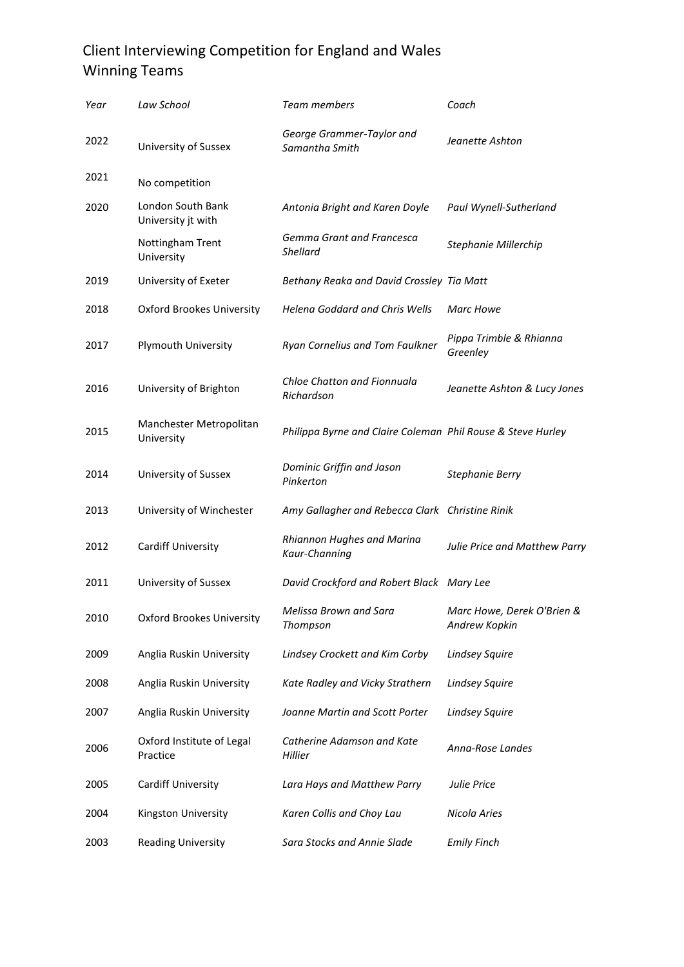## Client Interviewing Competition for England and Wales Winning Teams

| Year | Law School                              | Team members                                                | Coach                                       |
|------|-----------------------------------------|-------------------------------------------------------------|---------------------------------------------|
| 2022 | University of Sussex                    | George Grammer-Taylor and<br>Samantha Smith                 | Jeanette Ashton                             |
| 2021 | No competition                          |                                                             |                                             |
| 2020 | London South Bank<br>University jt with | Antonia Bright and Karen Doyle                              | Paul Wynell-Sutherland                      |
|      | Nottingham Trent<br>University          | Gemma Grant and Francesca<br><b>Shellard</b>                | Stephanie Millerchip                        |
| 2019 | University of Exeter                    | Bethany Reaka and David Crossley Tia Matt                   |                                             |
| 2018 | <b>Oxford Brookes University</b>        | <b>Helena Goddard and Chris Wells</b>                       | <b>Marc Howe</b>                            |
| 2017 | Plymouth University                     | Ryan Cornelius and Tom Faulkner                             | Pippa Trimble & Rhianna<br>Greenley         |
| 2016 | University of Brighton                  | Chloe Chatton and Fionnuala<br>Richardson                   | Jeanette Ashton & Lucy Jones                |
| 2015 | Manchester Metropolitan<br>University   | Philippa Byrne and Claire Coleman Phil Rouse & Steve Hurley |                                             |
| 2014 | University of Sussex                    | Dominic Griffin and Jason<br>Pinkerton                      | <b>Stephanie Berry</b>                      |
| 2013 | University of Winchester                | Amy Gallagher and Rebecca Clark Christine Rinik             |                                             |
| 2012 | Cardiff University                      | Rhiannon Hughes and Marina<br>Kaur-Channing                 | Julie Price and Matthew Parry               |
| 2011 | University of Sussex                    | David Crockford and Robert Black Mary Lee                   |                                             |
| 2010 | <b>Oxford Brookes University</b>        | Melissa Brown and Sara<br>Thompson                          | Marc Howe, Derek O'Brien &<br>Andrew Kopkin |
| 2009 | Anglia Ruskin University                | Lindsey Crockett and Kim Corby                              | <b>Lindsey Squire</b>                       |
| 2008 | Anglia Ruskin University                | Kate Radley and Vicky Strathern                             | <b>Lindsey Squire</b>                       |
| 2007 | Anglia Ruskin University                | Joanne Martin and Scott Porter                              | <b>Lindsey Squire</b>                       |
| 2006 | Oxford Institute of Legal<br>Practice   | Catherine Adamson and Kate<br>Hillier                       | Anna-Rose Landes                            |
| 2005 | Cardiff University                      | Lara Hays and Matthew Parry                                 | Julie Price                                 |
| 2004 | Kingston University                     | Karen Collis and Choy Lau                                   | Nicola Aries                                |
| 2003 | <b>Reading University</b>               | Sara Stocks and Annie Slade                                 | <b>Emily Finch</b>                          |